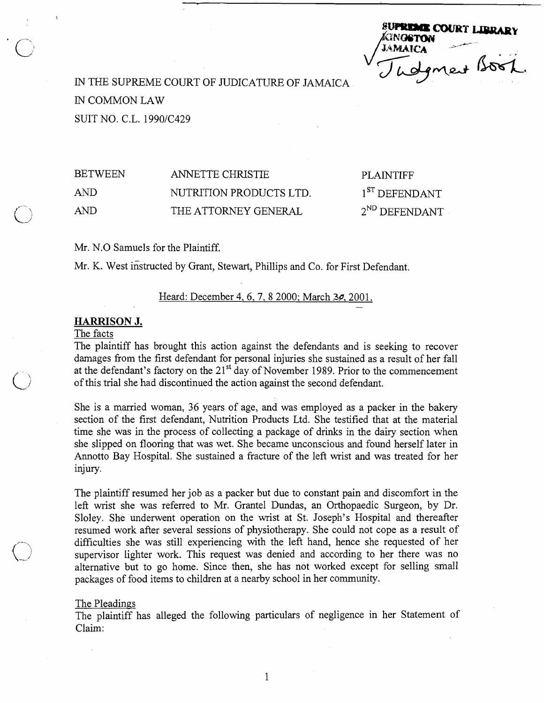**SUPREMIE COURT LIBRA** MAICA SOST

IN THE SUPREME COURT OF JUDICATURE OF JAMAICA IN COMMON LAW SUIT NO. C.L. 1990/C429

BETWEEN ANNETTE CHRISTIE PLAINTIFF AND NUTRITION PRODUCTS LTD. 1<sup>ST</sup> DEFENDANT AND THE ATTORNEY GENERAL 2<sup>ND</sup> DEFENDANT

Mr. N.0 Samuels for the Plaintiff.

Mr. K. West instructed by Grant, Stewart, Phillips and Co. for First Defendant.

# Heard: December 4, 6, 7, 8 2000; March 3*o*, 2001.

# HARRISON J.

# The facts

The plaintiff has brought this action against the defendants and is seeking to recover damages from the first defendant for personal injuries she sustained as a result of her fall at the defendant's factory on the 21<sup>st</sup> day of November 1989. Prior to the commencement of this trial she had discontinued the action against the second defendant.

She is a married woman, 36 years of age, and was employed as a packer in the bakery section of the first defendant, Nutrition Products Ltd. She testified that at the material time she was in the process of collecting a package of drinks in the dairy section when she slipped on flooring that was wet. She became unconscious and found herself later in Annotto Bay Hospital. She sustained a fracture of the left wrist and was treated for her injury.

The plaintiff resumed her job as a packer but due to constant pain and discomfort in the left wrist she was referred to Mr. Grantel Dundas, an Orthopaedic Surgeon, by Dr. Sloley. She underwent operation on the wrist at St. Joseph's Hospital and thereafter resumed work after several sessions of physiotherapy. She could not cope as a result of difficulties she was still experiencing with the left hand, hence she requested of her supervisor lighter work. This request was denied and according to her there was no alternative but to go home. Since then, she has not worked except for selling small packages of food items to children at a nearby school in her community.

## The Pleadings

The plaintiff has alleged the following particulars of negligence in her Statement of Claim: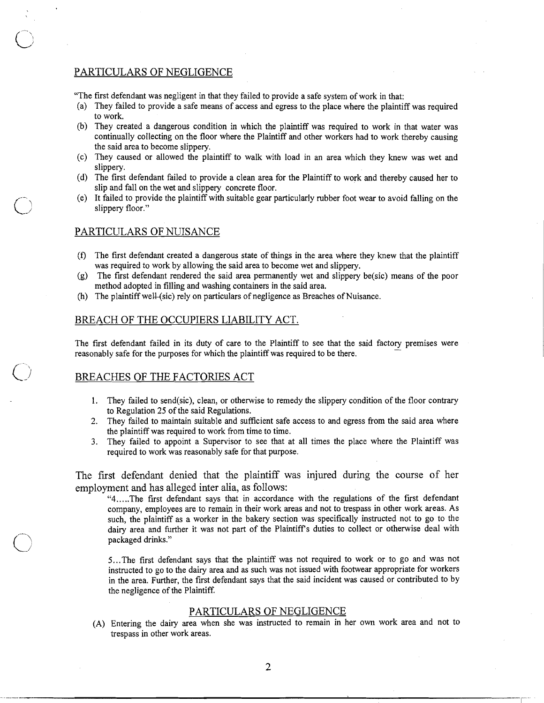# PARTICULARS OF NEGLIGENCE

"The first defendant was negligent in that they failed to provide a safe system of work in that:

- (a) They failed to provide a safe means of access and egress to the place where the plaintiff was required to work.
- (b) They created a dangerous condition in which the plaintiff was required to work in that water was continually collecting on the floor where the Plaintiff and other workers had to work thereby causing the said area to become slippery.
- (c) They caused or allowed the plaintiff to walk with load in an area which they knew was wet and slippery.
- (d) The first defendant failed to provide a clean area for the Plaintiff to work and thereby caused her to slip and fall on the wet and slippery concrete floor.
- (e) It failed to provide the plaintiff with suitable gear particularly rubber foot wear to avoid falling on the slippery floor."

# PARTICULARS OF NUISANCE

- (f) The first defendant created a dangerous state of things in the area where they knew that the plaintiff was required to work by allowing the said area to become wet and slippery.
- (g) The first defendant rendered the said area permanently wet and slippery be(sic) means of the poor method adopted in filling and washing containers in the said area.
- (h) The plaintiff well-(sic) rely on particulars of negligence as Breaches of Nuisance.

# BREACH OF THE OCCUPIERS LIABILITY ACT.

The first defendant failed in its duty of care to the Plaintiff to see that the said factory premises were reasonably safe for the purposes for which the plaintiff was required to be there.

#### BREACHES OF THE FACTORIES ACT

- 1. They failed to send(sic), clean, or otherwise to remedy the slippery condition of the floor contrary to Regulation *25* of the said Regulations.
- *2.* They failed to maintain suitable and sufficient safe access to and egress from the said area where the plaintiff was required to work from time to time.
- **3.** They failed to appoint a Supervisor to see that at all times the place where the Plaintiff was required to work was reasonably safe for that purpose.

The first defendant denied that the plaintiff was injured during the course of her employment and has alleged inter alia, as follows:

"4 ..... The first defendant says that in accordance with the regulations of the first defendant company, employees are to remain in their work areas and not to trespass in other work areas. As such, the plaintiff as a worker in the bakery section was specifically instructed not to go to the dairy area and further it was not part of the Plaintiff's duties to collect or otherwise deal with packaged drinks."

5...The first defendant says that the plaintiff was not required to work or to go and **was** not instructed to go to the dairy area and as such was not issued with footwear appropriate for workers in the area. Further, the first defendant says that the said incident was caused or contributed to by the negligence of the Plaintiff.

# PARTICULARS OF NEGLIGENCE

(A) Entering the dairy area when she was instructed to remain in her own work area and not to trespass in other work areas.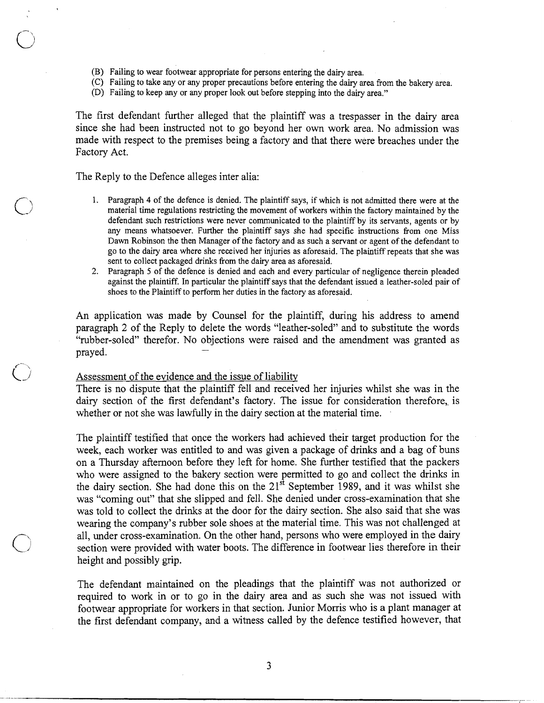- (B) Failing to wear footwear appropriate for persons entering the dairy area.
- (C) Failing to take any or any proper precautions before entering the dairy area from the bakery area.
- (D) Failing to keep any or any proper look out before stepping into the dairy area."

The first defendant further alleged that the plaintiff was a trespasser in the dairy area since she had been instructed not to go beyond her own work area. No admission was made with respect to the premises being a factory and that there were breaches under the Factory Act.

### The Reply to the Defence alleges inter alia:

- 1. Paragraph 4 of the defence is denied. The plaintiff says, if which is not admitted there were at the material time regulations restricting the movement of workers within the factory maintained by the defendant such restrictions were never communicated to the plaintiff by its servants, agents or by any means whatsoever. Further the plaintiff says she had specific instructions from one Miss Dawn Robinson the then Manager of the factory and as such a servant or agent of the defendant to go to the dairy area where she received her injuries as aforesaid. The plaintiff repeats that she was sent to collect packaged drinks from the dairy area as aforesaid.
- **2.** Paragraph 5 of the defence is denied and each and every particular of negligence therein pleaded against the plaintiff. In particular the plaintiff says that the defendant issued a leather-soled pair of shoes to the Plaintiff to perform her duties in the factory as aforesaid.

An application was made by Counsel for the plaintiff, during his address to amend paragraph 2 of the Reply to delete the words "leather-soled" and to substitute the words "rubber-soled" therefor. No objections were raised and the amendment was granted as prayed. -

# Assessment of the evidence and the issue of liabilitv

There is no dispute that the plaintiff fell and received her injuries whilst she was in the dairy section of the first defendant's factory. The issue for consideration therefore, is whether or not she was lawfully in the dairy section at the material time.

The plaintiff testified that once the workers had achieved their target production for the week, each worker was entitled to and was given a package of drinks and a bag of buns on a Thursday afternoon before they left for home. She further testified that the packers who were assigned to the bakery section were permitted to go and collect the drinks in the dairy section. She had done this on the  $21<sup>st</sup>$  September 1989, and it was whilst she was "coming out" that she slipped and fell. She denied under cross-examination that she was told to collect the drinks at the door for the dairy section. She also said that she was wearing the company's rubber sole shoes at the material time. This was not challenged at wearing the company's rubber sole shoes at the material time. This was not challenged at<br>all, under cross-examination. On the other hand, persons who were employed in the dairy<br>section were provided with water boots. The d section were provided with water boots. The difference in footwear lies therefore in their height and possibly grip.

> The defendant maintained on the pleadings that the plaintiff was not authorized or required to work in or to go in the dairy area and as such she was not issued with footwear appropriate for workers in that section. Junior Morris who is a plant manager at the first defendant company, and a witness called by the defence testified however, that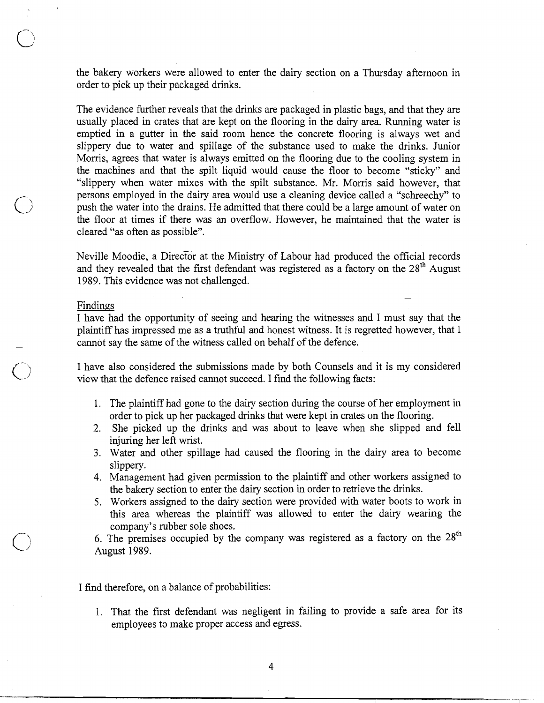the bakery workers were allowed to enter the dairy section on a Thursday afternoon in order to pick up their packaged drinks.

The evidence further reveals that the drinks are packaged in plastic bags, and that they are usually placed in crates that are kept on the flooring in the dairy area. Running water is emptied in a gutter in the said room hence the concrete flooring is always wet and slippery due to water and spillage of the substance used to make the drinks. Junior Morris, agrees that water is always emitted on the flooring due to the cooling system in the machines and that the spilt liquid would cause the floor to become "sticky" and "slippery when water mixes with the spilt substance. Mr. Morris said however, that persons employed in the dairy area would use a cleaning device called a "schreechy" to push the water into the drains. He admitted that there could be a large amount of water on the floor at times if there was an overflow. However, he maintained that the water is cleared "as often as possible".

Neville Moodie, a Director at the Ministry of Labour had produced the official records and they revealed that the first defendant was registered as a factory on the  $28<sup>th</sup>$  August 1989. This evidence was not challenged. -

### Findings

I have had the opportunity of seeing and hearing the witnesses and I must say that the plaintiff has impressed me as a truthful and honest witness. It is regretted however, that I cannot say the same of the witness called on behalf of the defence.

I have also considered the submissions made by both Counsels and it is my considered view that the defence raised cannot succeed. I find the following facts:

- 1. The plaintiff had gone to the dairy section during the course of her employment in order to pick up her packaged drinks that were kept in crates on the flooring.
- 2. She picked up the drinks and was about to leave when she slipped and fell injuring her left wrist.
- 3. Water and other spillage had caused the flooring in the dairy area to become slippery.
- 4. Management had given permission to the plaintiff and other workers assigned to the bakery section to enter the dairy section in order to retrieve the drinks.
- 5. Workers assigned to the dairy section were provided with water boots to work in this area whereas the plaintiff was allowed to enter the dairy wearing the company's rubber sole shoes.
- 6. The premises occupied by the company was registered as a factory on the  $28<sup>th</sup>$ August 1989.

### I find therefore, on a balance of probabilities:

1. That the first defendant was negligent in failing to provide a safe area for its employees to make proper access and egress.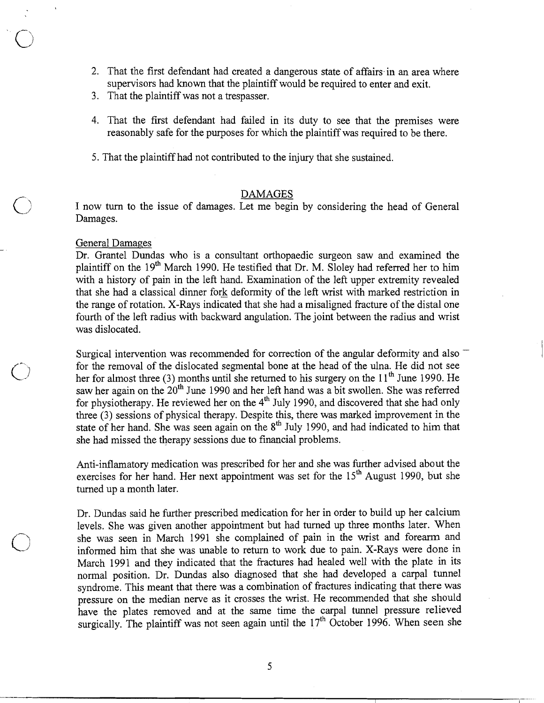- 2. That the first defendant had created a dangerous state of affairs in an area where supervisors had known that the plaintiff would be required to enter and exit.
- 3. That the plaintiff was not a trespasser.
- 4. That the first defendant had failed in its duty to see that the premises were reasonably safe for the purposes for which the plaintiff was required to be there.
- 5. That the plaintiff had not contributed to the injury that she sustained.

DAMAGES I now turn to the issue of damages. Let me begin by considering the head of General Damages.

#### General Damages

Dr. Grantel Dundas who is a consultant orthopaedic surgeon saw and examined the plaintiff on the  $19<sup>th</sup>$  March 1990. He testified that Dr. M. Sloley had referred her to him with a history of pain in the left hand. Examination of the left upper extremity revealed that she had a classical dinner fork deformity of the left wrist with marked restriction in the range of rotation. X-Rays indicated that she had a misaligned fracture of the distal one fourth of the left radius with backward angulation. The joint between the radius and wrist was dislocated.

Surgical intervention was recommended for correction of the angular deformity and also – for the removal of the dislocated segmental bone at the head of the ulna. He did not see For the removal of the dislocated segmental bone at the head of the ulna. He did not see<br>her for almost three (3) months until she returned to his surgery on the  $11<sup>th</sup>$  June 1990. He saw her again on the 20<sup>th</sup> June 1990 and her left hand was a bit swollen. She was referred for physiotherapy. He reviewed her on the  $4<sup>th</sup>$  July 1990, and discovered that she had only three (3) sessions of physical therapy. Despite this, there was marked improvement in the state of her hand. She was seen again on the 8<sup>th</sup> July 1990, and had indicated to him that she had missed the therapy sessions due to financial problems.

> Anti-inflamatory medication was prescribed for her and she was further advised about the exercises for her hand. Her next appointment was set for the 15" August 1990, but she turned up a month later.

> Dr. Dundas said he further prescribed medication for her in order to build up her calcium levels. She was given another appointment but had turned up three months later. When she was seen in March 1991 she complained of pain in the wrist and forearm and informed him that she was unable to return to work due to pain. X-Rays were done in March 1991 and they indicated that the fractures had healed well with the plate in its normal position. Dr. Dundas also diagnosed that she had developed a carpal tunnel syndrome. This meant that there was a combination of fractures indicating that there was pressure on the median nerve as it crosses the wrist. He recommended that she should have the plates removed and at the same time the carpal tunnel pressure relieved surgically. The plaintiff was not seen again until the  $17<sup>th</sup>$  October 1996. When seen she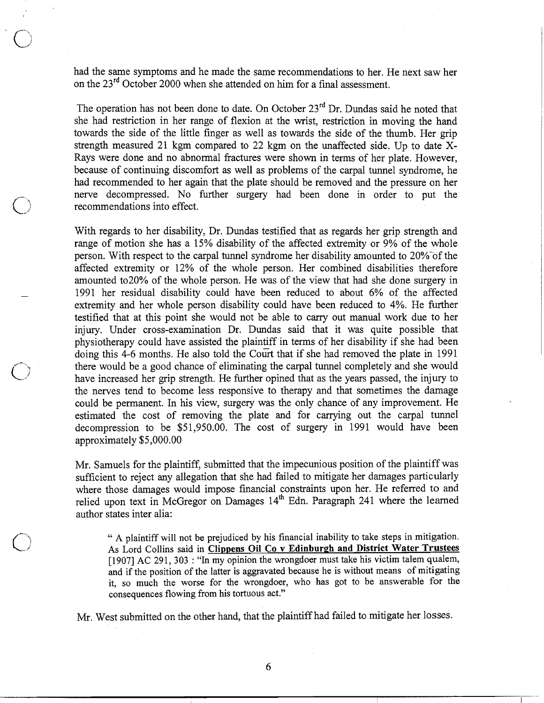had the same symptoms and he made the same recommendations to her. He next saw her on the 23<sup>rd</sup> October 2000 when she attended on him for a final assessment.

The operation has not been done to date. On October  $23<sup>rd</sup>$  Dr. Dundas said he noted that she had restriction in her range of flexion at the wrist, restriction in moving the hand towards the side of the little finger as well as towards the side of the thumb. Her grip strength measured 21 kgm compared to 22 kgm on the unaffected side. Up to date X-Rays were done and no abnormal fractures were shown in terms of her plate. However, because of continuing discomfort as well as problems of the carpal tunnel syndrome, he had recommended to her again that the plate should be removed and the pressure on her nerve decompressed. No further surgery had been done in order to put the recommendations into effect.

With regards to her disability, Dr. Dundas testified that as regards her grip strength and range of motion she has a 15% disability of the affected extremity or 9% of the whole person. With respect to the carpal tunnel syndrome her disability amounted to 20% of the affected extremity or 12% of the whole person. Her combined disabilities therefore amounted to20% of the whole person. He was of the view that had she done surgery in - 1991 her residual disability could have been reduced to about 6% of the affected extremity and her whole person disability could have been reduced to 4%. He further testified that at this point she would not be able to carry out manual work due to her injury. Under cross-examination Dr. Dundas said that it was quite possible that physiotherapy could have assisted the plaintiff in terms of her disability if she had been doing this 4-6 months. He also told the Court that if she had removed the plate in 1991 there would be a good chance of eliminating the carpal tunnel completely and she would have increased her grip strength. He further opined that as the years passed, the injury to the nerves tend to become less responsive to therapy and that sometimes the damage could be permanent. In his view, surgery was the only chance of any improvement. He estimated the cost of removing the plate and for carrying out the carpal tunnel decompression to be \$51,950.00. The cost of surgery in 1991 would have been approximately \$5,000.00

Mr. Samuels for the plaintiff, submitted that the impecunious position of the plaintiff was sufficient to reject any allegation that she had failed to mitigate her damages particularly where those damages would impose financial constraints upon her. He referred to and relied upon text in McGregor on Damages 14<sup>th</sup> Edn. Paragraph 241 where the learned author states inter alia:

" A plaintiff will not be prejudiced by his financial inability to take steps in mitigation. As Lord Collins said in **Clippens Oil Co v Edinburgh and District Water Trustees** [1907] AC 291, 303 : "In my opinion the wrongdoer must take his victim talem qualem, and if the position of the latter is aggravated because he is without means of mitigating it, so much the worse for the wrongdoer, who has got to be answerable for the consequences flowing from his tortuous act."

Mr. West submitted on the other hand, that the plaintiff had failed to mitigate her losses.

6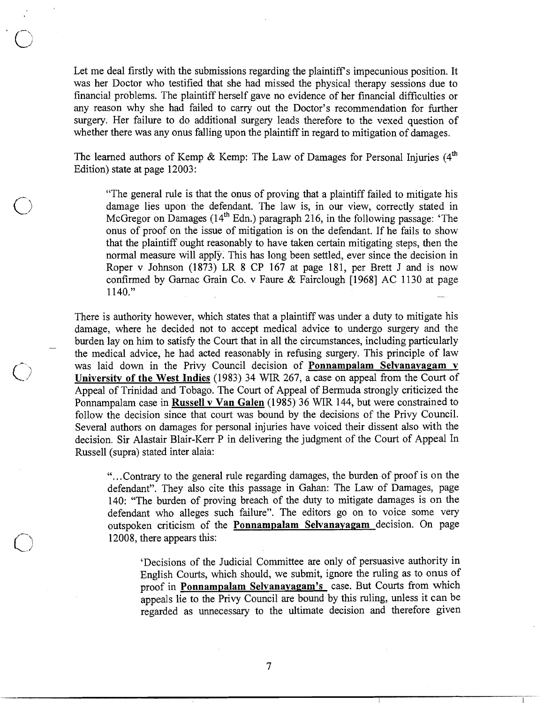Let me deal firstly with the submissions regarding the plaintiff's impecunious position. It was her Doctor who testified that she had missed the physical therapy sessions due to financial problems. The plaintiff herself gave no evidence of her financial difficulties or any reason why she had failed to carry out the Doctor's recommendation for further surgery. Her failure to do additional surgery leads therefore to the vexed question of whether there was any onus falling upon the plaintiff in regard to mitigation of damages.

The learned authors of Kemp & Kemp: The Law of Damages for Personal Injuries  $(4<sup>th</sup>$ Edition) state at page 12003:

"The general rule is that the onus of proving that a plaintiff failed to mitigate his damage lies upon the defendant. The law is, in our view, correctly stated in McGregor on Damages ( $14<sup>th</sup>$  Edn.) paragraph 216, in the following passage: 'The onus of proof on the issue of mitigation is on the defendant. If he fails to show that the plaintiff ought reasonably to have taken certain mitigating steps, then the normal measure will apply. This has long been settled, ever since the decision in Roper v Johnson (1873) LR 8 CP 167 at page 181, per Brett J and is now confirmed by Garnac Grain Co. v Faure & Fairclough [1968] AC 1130 at page 1140."

There is authority however, which states that a plaintiff was under a duty to mitigate his damage, where he decided not to accept medical advice to undergo surgery and the burden lay on him to satisfy the Court that in all the circumstances, including particularly the medical advice, he had acted reasonably in refusing surgery. This principle of law was laid down in the Privy Council decision of **Ponnampalam Selvanayagam v University of the West Indies** (1983) 34 WIR 267, a case on appeal from the Court of Appeal of Trinidad and Tobago. The Court of Appeal of Bermuda strongly criticized the Ponnampalam case in **Russell v Van Galen** (1985) 36 WIR 144, but were constrained to follow the decision since that court was bound by the decisions of the Privy Council. Several authors on damages for personal injuries have voiced their dissent also with the decision. Sir Alastair Blair-Kerr P in delivering the judgment of the Court of Appeal In Russell (supra) stated inter alaia:

> "...Contrary to the general rule regarding damages, the burden of proof is on the defendant". They also cite this passage in Gahan: The Law of Damages, page 140: "The burden of proving breach of the duty to mitigate damages is on the defendant who alleges such failure". The editors go on to voice some very outspoken criticism of the **Ponnampalam Selvanayagam** decision. On page 12008, there appears this:

'Decisions of the Judicial Committee are only of persuasive authority in English Courts, which should, we submit, ignore the ruling as to onus of proof in **Ponnampalam Selvanayagam's** case. But Courts from which appeals lie to the Privy Council are bound by this ruling, unless it can be regarded as unnecessary to the ultimate decision and therefore given

 $\overline{7}$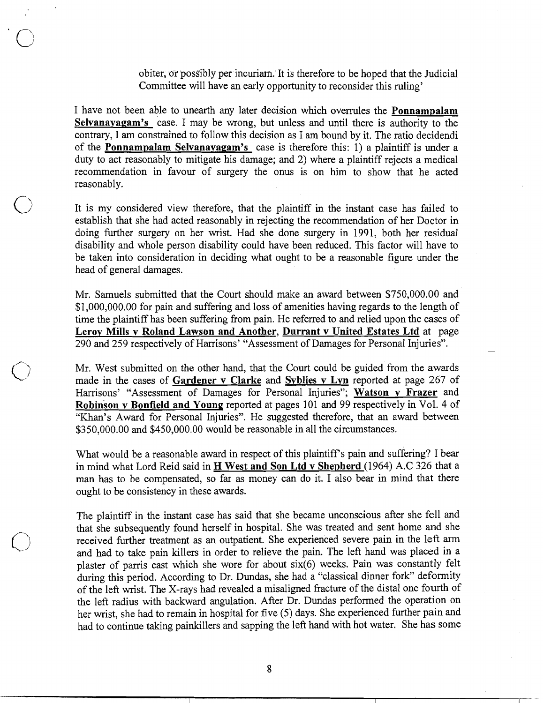obiter, or posSibly per incuriam. It is therefore to be hoped that the Judicial Committee will have an early opportunity to reconsider this ruling'

I have not been able to unearth any later decision which overrules the **Ponnampalam Selvanayagam's** case. I may be wrong, but unless and until there is authority to the contrary, I am constrained to follow this decision as I am bound by it. The ratio decidendi of the **Ponnampalam Selvanayagam's** case is therefore this: 1) a plaintiff is under a duty to act reasonably to mitigate his damage; and 2) where a plaintiff rejects a medical recommendation in favour of surgery the onus is on him to show that he acted reasonably.

It is my considered view therefore, that the plaintiff in the instant case has failed to establish that she had acted reasonably in rejecting the recommendation of her Doctor in doing further surgery on her wrist. Had she done surgery in 1991, both her residual - disability and whole person disability could have been reduced. This factor will have to be taken into consideration in deciding what ought to be a reasonable figure under the head of general damages.

Mr. Samuels submitted that the Court should make an award between \$750,000.00 and \$1,000,000.00 for pain and suffering and loss of amenities having regards to the length of time the plaintiff has been suffering from pain. He referred to and relied upon the cases of **Lerov Mills v Roland Lawson and Another, Durrant v United Estates Ltd** at page 290 and 259 respectively of Harrisons' "Assessment of Damages for Personal Injuries". -

Mr. West submitted on the other hand, that the Court could be guided from the awards made in the cases of **Gardener v Clarke** and **Svblies v Lvn** reported at page 267 of Harrisons' "Assessment of Damages for Personal Injuries"; **Watson v Frazer** and **Robinson v Bonfield and Young** reported at pages 101 and 99 respectively in Vol. 4 of "Khan's Award for Personal Injuries". He suggested therefore, that an award between \$350,000.00 and \$450,000.00 would be reasonable in all the circumstances.

What would be a reasonable award in respect of this plaintiff's pain and suffering? I bear in mind what Lord Reid said in H **West and Son Ltd v Shepherd** (1964) A.C 326 that a man has to be compensated, so far as money can do it. I also bear in mind that there ought to be consistency in these awards.

The plaintiff in the instant case has said that she became unconscious after she fell and that she subsequently found herself in hospital. She was treated and sent home and she received further treatment as an outpatient. She experienced severe pain in the left arm and had to take pain killers in order to relieve the pain. The left hand was placed in a plaster of parris cast which she wore for about six(6) weeks. Pain was constantly felt during this period. According to Dr. Dundas, she had a "classical dinner fork" deformity of the left wrist. The X-rays had revealed a misaligned fracture of the distal one fourth of the left radius with backward angulation. After Dr. Dundas performed the operation on her wrist, she had to remain in hospital for five (5) days. She experienced further pain and had to continue taking painkillers and sapping the left hand with hot water. She has some

8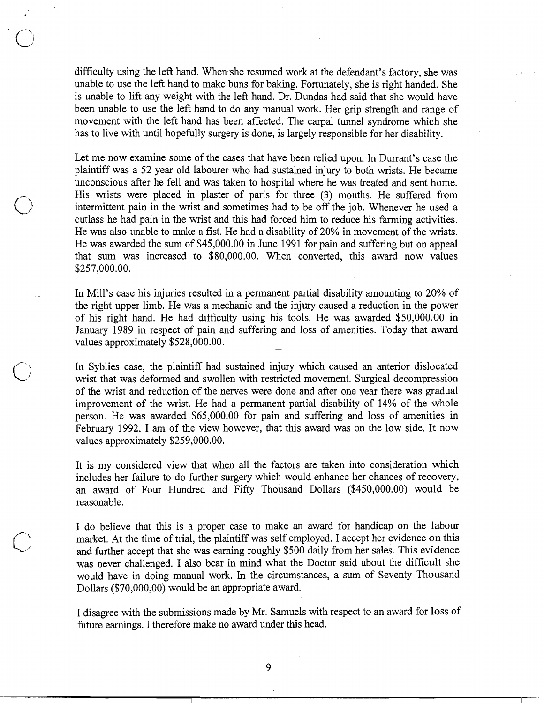difficulty using the left hand. When she resumed work at the defendant's factory, she was unable to use the left hand to make buns for baking. Fortunately, she is right handed. She is unable to lift any weight with the left hand. Dr. Dundas had said that she would have been unable to use the left hand to do any manual work. Her grip strength and range of movement with the left hand has been affected. The carpal tunnel syndrome which she has to live with until hopefully surgery is done, is largely responsible for her disability.

Let me now examine some of the cases that have been relied upon. In Durrant's case the plaintiff was a 52 year old labourer who had sustained injury to both wrists. He became unconscious after he fell and was taken to hospital where he was treated and sent home. His wrists were placed in plaster of paris for three (3) months. He suffered from intermittent pain in the wrist and sometimes had to be off the job. Whenever he used a cutlass he had pain in the wrist and this had forced him to reduce his farming activities. He was also unable to make a fist. He had a disability of 20% in movement of the wrists. He was awarded the sum of \$45,000.00 in June 1991 for pain and suffering but on appeal that sum was increased to \$80,000.00. When converted, this award now values \$257,000.00.

In Mill's case his injuries resulted in a permanent partial disability amounting to 20% of the right upper limb. He was a mechanic and the injury caused a reduction in the power of his right hand. He had difficulty using his tools. He was awarded \$50,000.00 in January 1989 in respect of pain and suffering and loss of amenities. Today that award values approximately \$528,000.00.

In Syblies case, the plaintiff had sustained injury which caused an anterior dislocated wrist that was deformed and swollen with restricted movement. Surgical decompression of the wrist and reduction of the nerves were done and after one year there was gradual improvement of the wrist. He had a permanent partial disability of 14% of the whole person. He was awarded \$65,000.00 for pain and suffering and loss of amenities in February 1992. I **am** of the view however, that this award was on the low side. It now values approximately \$259,000.00.

It is my considered view that when all the factors are taken into consideration which includes her failure to do further surgery which would enhance her chances of recovery, an award of Four Hundred and Fifty Thousand Dollars (\$450,000.00) would be reasonable.

I do believe that this is a proper case to make an award for handicap on the labour market. At the time of trial, the plaintiff was self employed. I accept her evidence on this and further accept that she was earning roughly \$500 daily from her sales. This evidence was never challenged. I also bear in mind what the Doctor said about the difficult she would have in doing manual work. In the circumstances, a sum of Seventy Thousand Dollars (\$70,000,00) would be an appropriate award.

I disagree with the submissions made by Mr. Samuels with respect to an award for loss of future earnings. I therefore make no award under this head.

9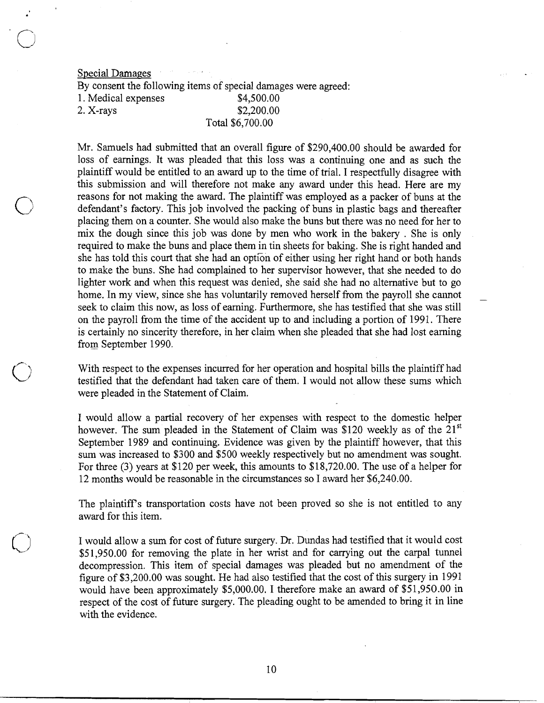Special Damages By consent the following items of special damages were agreed: 1. Medical expenses \$4,500.00 2. X-rays \$2,200.00 Total \$6,700.00

Mr. Samuels had submitted that an overall figure of \$290,400.00 should be awarded for loss of earnings. It was pleaded that this loss was a continuing one and as such the plaintiff would be entitled to an award up to the time of trial. I respectfully disagree with this submission and will therefore not make any award under this head. Here are my reasons for not making the award. The plaintiff was employed as a packer of buns at the defendant's factory. This job involved the packing of buns in plastic bags and thereafter placing them on a counter. She would also make the buns but there was no need for her to mix the dough since this job was done by men who work in the bakery . She is only required to make the buns and place them in tin sheets for baking. She is right handed and she has told this court that she had an option of either using her right hand or both hands to make the buns. She had complained to her supervisor however, that she needed to do lighter work and when this request was denied, she said she had no alternative but to go home. In my view, since she has voluntarily removed herself from the payroll she cannot seek to claim this now, as loss of earning. Furthermore, she has testified that she was still on the payroll fiom the time of the accident up to and including a portion of 1991. There is certainly no sincerity therefore, in her claim when she pleaded that she had lost earning from September 1990.

With respect to the expenses incurred for her operation and hospital bills the plaintiff had testified that the defendant had taken care of them. I would not allow these sums which were pleaded in the Statement of Claim.

I would allow a partial recovery of her expenses with respect to the domestic helper however. The sum pleaded in the Statement of Claim was \$120 weekly as of the  $21^{st}$ September 1989 and continuing. Evidence was given by the plaintiff however, that this sum was increased to \$300 and \$500 weekly respectively but no amendment was sought. For three (3) years at \$120 per week, this amounts to \$18,720.00. The use of a helper for 12 months would be reasonable in the circumstances so I award her \$6,240.00.

The plaintiffs transportation costs have not been proved so she is not entitled to any award for this item.

I would allow a sum for cost of future surgery. Dr. Dundas had testified that it would cost \$51,950.00 for removing the plate in her wrist and for carrying out the carpal tunnel decompression. This item of special damages was pleaded but no amendment of the figure of \$3,200.00 was sought. He had also testified that the cost of this surgery in 1991 would have been approximately \$5,000.00. I therefore make an award of \$51,950.00 in respect of the cost of future surgery. The pleading ought to be amended to bring it in line with the evidence.